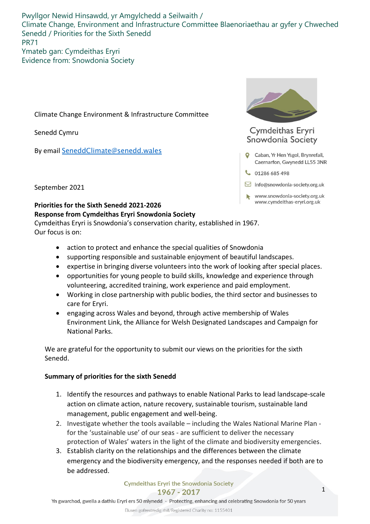Pwyllgor Newid Hinsawdd, yr Amgylchedd a Seilwaith / Climate Change, Environment and Infrastructure Committee Blaenoriaethau ar gyfer y Chweched Senedd / Priorities for the Sixth Senedd PR71 Ymateb gan: Cymdeithas Eryri

Evidence from: Snowdonia Society

Climate Change Environment & Infrastructure Committee

Senedd Cymru

By email SeneddClimate@senedd.wales



## Cymdeithas Eryri Snowdonia Society

- Caban, Yr Hen Ysgol, Brynrefail, Caernarfon, Gwynedd LL55 3NR
- $\begin{array}{c} \text{01286685498} \end{array}$
- $\boxdot$  info@snowdonia-society.org.uk
- www.snowdonia-society.org.uk www.cymdeithas-eryri.org.uk

September 2021

## **Priorities for the Sixth Senedd 2021-2026 Response from Cymdeithas Eryri Snowdonia Society**

Cymdeithas Eryri is Snowdonia's conservation charity, established in 1967. Our focus is on:

- action to protect and enhance the special qualities of Snowdonia
- supporting responsible and sustainable enjoyment of beautiful landscapes.
- expertise in bringing diverse volunteers into the work of looking after special places.
- opportunities for young people to build skills, knowledge and experience through volunteering, accredited training, work experience and paid employment.
- Working in close partnership with public bodies, the third sector and businesses to care for Eryri.
- engaging across Wales and beyond, through active membership of Wales Environment Link, the Alliance for Welsh Designated Landscapes and Campaign for National Parks.

We are grateful for the opportunity to submit our views on the priorities for the sixth Senedd.

## **Summary of priorities for the sixth Senedd**

- 1. Identify the resources and pathways to enable National Parks to lead landscape-scale action on climate action, nature recovery, sustainable tourism, sustainable land management, public engagement and well-being.
- 2. Investigate whether the tools available including the Wales National Marine Plan for the 'sustainable use' of our seas - are sufficient to deliver the necessary protection of Wales' waters in the light of the climate and biodiversity emergencies.
- 3. Establish clarity on the relationships and the differences between the climate emergency and the biodiversity emergency, and the responses needed if both are to be addressed.

Cymdeithas Eryri the Snowdonia Society 1967 - 2017

Elusen gofrestredig rhif/Registered Charity no: 1155401

Yn gwarchod, gwella a dathlu Eryri ers 50 mlynedd - Protecting, enhancing and celebrating Snowdonia for 50 years

1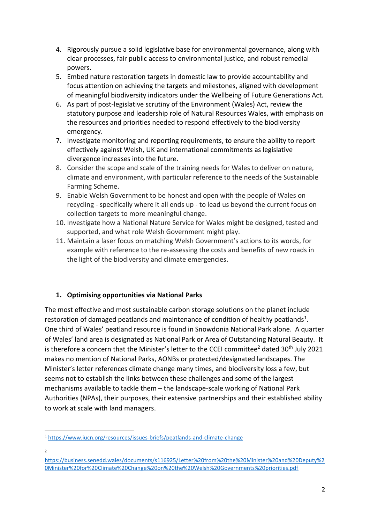- 4. Rigorously pursue a solid legislative base for environmental governance, along with clear processes, fair public access to environmental justice, and robust remedial powers.
- 5. Embed nature restoration targets in domestic law to provide accountability and focus attention on achieving the targets and milestones, aligned with development of meaningful biodiversity indicators under the Wellbeing of Future Generations Act.
- 6. As part of post-legislative scrutiny of the Environment (Wales) Act, review the statutory purpose and leadership role of Natural Resources Wales, with emphasis on the resources and priorities needed to respond effectively to the biodiversity emergency.
- 7. Investigate monitoring and reporting requirements, to ensure the ability to report effectively against Welsh, UK and international commitments as legislative divergence increases into the future.
- 8. Consider the scope and scale of the training needs for Wales to deliver on nature, climate and environment, with particular reference to the needs of the Sustainable Farming Scheme.
- 9. Enable Welsh Government to be honest and open with the people of Wales on recycling - specifically where it all ends up - to lead us beyond the current focus on collection targets to more meaningful change.
- 10. Investigate how a National Nature Service for Wales might be designed, tested and supported, and what role Welsh Government might play.
- 11. Maintain a laser focus on matching Welsh Government's actions to its words, for example with reference to the re-assessing the costs and benefits of new roads in the light of the biodiversity and climate emergencies.

## **1. Optimising opportunities via National Parks**

The most effective and most sustainable carbon storage solutions on the planet include restoration of damaged peatlands and maintenance of condition of healthy peatlands<sup>1</sup>. One third of Wales' peatland resource is found in Snowdonia National Park alone. A quarter of Wales' land area is designated as National Park or Area of Outstanding Natural Beauty. It is therefore a concern that the Minister's letter to the CCEI committee<sup>2</sup> dated  $30<sup>th</sup>$  July 2021 makes no mention of National Parks, AONBs or protected/designated landscapes. The Minister's letter references climate change many times, and biodiversity loss a few, but seems not to establish the links between these challenges and some of the largest mechanisms available to tackle them – the landscape-scale working of National Park Authorities (NPAs), their purposes, their extensive partnerships and their established ability to work at scale with land managers.

2

<sup>1</sup> <https://www.iucn.org/resources/issues-briefs/peatlands-and-climate-change>

[https://business.senedd.wales/documents/s116925/Letter%20from%20the%20Minister%20and%20Deputy%2](https://business.senedd.wales/documents/s116925/Letter%20from%20the%20Minister%20and%20Deputy%20Minister%20for%20Climate%20Change%20on%20the%20Welsh%20Governments%20priorities.pdf) [0Minister%20for%20Climate%20Change%20on%20the%20Welsh%20Governments%20priorities.pdf](https://business.senedd.wales/documents/s116925/Letter%20from%20the%20Minister%20and%20Deputy%20Minister%20for%20Climate%20Change%20on%20the%20Welsh%20Governments%20priorities.pdf)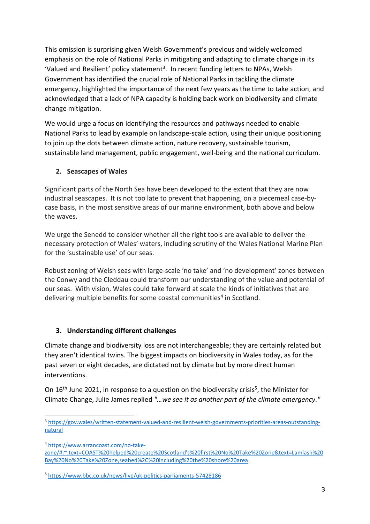This omission is surprising given Welsh Government's previous and widely welcomed emphasis on the role of National Parks in mitigating and adapting to climate change in its 'Valued and Resilient' policy statement<sup>3</sup>. In recent funding letters to NPAs, Welsh Government has identified the crucial role of National Parks in tackling the climate emergency, highlighted the importance of the next few years as the time to take action, and acknowledged that a lack of NPA capacity is holding back work on biodiversity and climate change mitigation.

We would urge a focus on identifying the resources and pathways needed to enable National Parks to lead by example on landscape-scale action, using their unique positioning to join up the dots between climate action, nature recovery, sustainable tourism, sustainable land management, public engagement, well-being and the national curriculum.

## **2. Seascapes of Wales**

Significant parts of the North Sea have been developed to the extent that they are now industrial seascapes. It is not too late to prevent that happening, on a piecemeal case-bycase basis, in the most sensitive areas of our marine environment, both above and below the waves.

We urge the Senedd to consider whether all the right tools are available to deliver the necessary protection of Wales' waters, including scrutiny of the Wales National Marine Plan for the 'sustainable use' of our seas.

Robust zoning of Welsh seas with large-scale 'no take' and 'no development' zones between the Conwy and the Cleddau could transform our understanding of the value and potential of our seas. With vision, Wales could take forward at scale the kinds of initiatives that are delivering multiple benefits for some coastal communities<sup>4</sup> in Scotland.

## **3. Understanding different challenges**

Climate change and biodiversity loss are not interchangeable; they are certainly related but they aren't identical twins. The biggest impacts on biodiversity in Wales today, as for the past seven or eight decades, are dictated not by climate but by more direct human interventions.

On 16<sup>th</sup> June 2021, in response to a question on the biodiversity crisis<sup>5</sup>, the Minister for Climate Change, Julie James replied *"…we see it as another part of the climate emergency."*

<sup>4</sup> [https://www.arrancoast.com/no-take-](https://www.arrancoast.com/no-take-zone/#:~:text=COAST%20helped%20create%20Scotland)

[zone/#:~:text=COAST%20helped%20create%20Scotland's%20first%20No%20Take%20Zone&text=Lamlash%20](https://www.arrancoast.com/no-take-zone/#:~:text=COAST%20helped%20create%20Scotland) [Bay%20No%20Take%20Zone,seabed%2C%20including%20the%20shore%20area.](https://www.arrancoast.com/no-take-zone/#:~:text=COAST%20helped%20create%20Scotland)

<sup>5</sup> <https://www.bbc.co.uk/news/live/uk-politics-parliaments-57428186>

<sup>3</sup> [https://gov.wales/written-statement-valued-and-resilient-welsh-governments-priorities-areas-outstanding](https://gov.wales/written-statement-valued-and-resilient-welsh-governments-priorities-areas-outstanding-natural)[natural](https://gov.wales/written-statement-valued-and-resilient-welsh-governments-priorities-areas-outstanding-natural)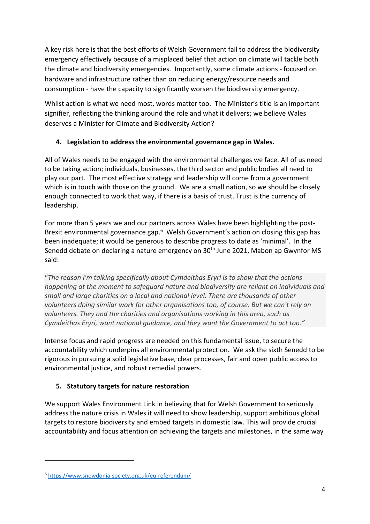A key risk here is that the best efforts of Welsh Government fail to address the biodiversity emergency effectively because of a misplaced belief that action on climate will tackle both the climate and biodiversity emergencies. Importantly, some climate actions - focused on hardware and infrastructure rather than on reducing energy/resource needs and consumption - have the capacity to significantly worsen the biodiversity emergency.

Whilst action is what we need most, words matter too. The Minister's title is an important signifier, reflecting the thinking around the role and what it delivers; we believe Wales deserves a Minister for Climate and Biodiversity Action?

# **4. Legislation to address the environmental governance gap in Wales.**

All of Wales needs to be engaged with the environmental challenges we face. All of us need to be taking action; individuals, businesses, the third sector and public bodies all need to play our part. The most effective strategy and leadership will come from a government which is in touch with those on the ground. We are a small nation, so we should be closely enough connected to work that way, if there is a basis of trust. Trust is the currency of leadership.

For more than 5 years we and our partners across Wales have been highlighting the post-Brexit environmental governance gap.<sup>6</sup> Welsh Government's action on closing this gap has been inadequate; it would be generous to describe progress to date as 'minimal'. In the Senedd debate on declaring a nature emergency on 30<sup>th</sup> June 2021, Mabon ap Gwynfor MS said:

"*The reason I'm talking specifically about Cymdeithas Eryri is to show that the actions happening at the moment to safeguard nature and biodiversity are reliant on individuals and small and large charities on a local and national level. There are thousands of other volunteers doing similar work for other organisations too, of course. But we can't rely on volunteers. They and the charities and organisations working in this area, such as Cymdeithas Eryri, want national guidance, and they want the Government to act too."*

Intense focus and rapid progress are needed on this fundamental issue, to secure the accountability which underpins all environmental protection. We ask the sixth Senedd to be rigorous in pursuing a solid legislative base, clear processes, fair and open public access to environmental justice, and robust remedial powers.

# **5. Statutory targets for nature restoration**

We support Wales Environment Link in believing that for Welsh Government to seriously address the nature crisis in Wales it will need to show leadership, support ambitious global targets to restore biodiversity and embed targets in domestic law. This will provide crucial accountability and focus attention on achieving the targets and milestones, in the same way

<sup>6</sup> <https://www.snowdonia-society.org.uk/eu-referendum/>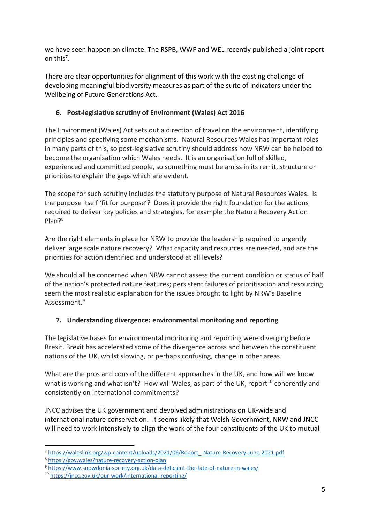we have seen happen on climate. The RSPB, WWF and WEL recently published a joint report on this<sup>7</sup>.

There are clear opportunities for alignment of this work with the existing challenge of developing meaningful biodiversity measures as part of the suite of Indicators under the Wellbeing of Future Generations Act.

## **6. Post-legislative scrutiny of Environment (Wales) Act 2016**

The Environment (Wales) Act sets out a direction of travel on the environment, identifying principles and specifying some mechanisms. Natural Resources Wales has important roles in many parts of this, so post-legislative scrutiny should address how NRW can be helped to become the organisation which Wales needs. It is an organisation full of skilled, experienced and committed people, so something must be amiss in its remit, structure or priorities to explain the gaps which are evident.

The scope for such scrutiny includes the statutory purpose of Natural Resources Wales. Is the purpose itself 'fit for purpose'? Does it provide the right foundation for the actions required to deliver key policies and strategies, for example the Nature Recovery Action Plan? 8

Are the right elements in place for NRW to provide the leadership required to urgently deliver large scale nature recovery? What capacity and resources are needed, and are the priorities for action identified and understood at all levels?

We should all be concerned when NRW cannot assess the current condition or status of half of the nation's protected nature features; persistent failures of prioritisation and resourcing seem the most realistic explanation for the issues brought to light by NRW's Baseline Assessment.<sup>9</sup>

# **7. Understanding divergence: environmental monitoring and reporting**

The legislative bases for environmental monitoring and reporting were diverging before Brexit. Brexit has accelerated some of the divergence across and between the constituent nations of the UK, whilst slowing, or perhaps confusing, change in other areas.

What are the pros and cons of the different approaches in the UK, and how will we know what is working and what isn't? How will Wales, as part of the UK, report<sup>10</sup> coherently and consistently on international commitments?

JNCC advises the UK government and devolved administrations on UK-wide and international nature conservation. It seems likely that Welsh Government, NRW and JNCC will need to work intensively to align the work of the four constituents of the UK to mutual

<sup>7</sup> [https://waleslink.org/wp-content/uploads/2021/06/Report\\_-Nature-Recovery-June-2021.pdf](https://waleslink.org/wp-content/uploads/2021/06/Report_-Nature-Recovery-June-2021.pdf)

<sup>8</sup> <https://gov.wales/nature-recovery-action-plan>

<sup>9</sup> <https://www.snowdonia-society.org.uk/data-deficient-the-fate-of-nature-in-wales/>

<sup>10</sup> <https://jncc.gov.uk/our-work/international-reporting/>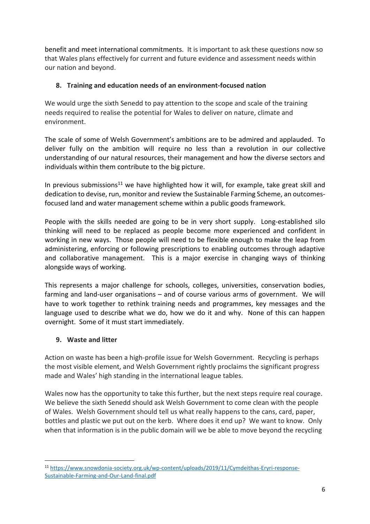benefit and meet international commitments. It is important to ask these questions now so that Wales plans effectively for current and future evidence and assessment needs within our nation and beyond.

#### **8. Training and education needs of an environment-focused nation**

We would urge the sixth Senedd to pay attention to the scope and scale of the training needs required to realise the potential for Wales to deliver on nature, climate and environment.

The scale of some of Welsh Government's ambitions are to be admired and applauded. To deliver fully on the ambition will require no less than a revolution in our collective understanding of our natural resources, their management and how the diverse sectors and individuals within them contribute to the big picture.

In previous submissions<sup>11</sup> we have highlighted how it will, for example, take great skill and dedication to devise, run, monitor and review the Sustainable Farming Scheme, an outcomesfocused land and water management scheme within a public goods framework.

People with the skills needed are going to be in very short supply. Long-established silo thinking will need to be replaced as people become more experienced and confident in working in new ways. Those people will need to be flexible enough to make the leap from administering, enforcing or following prescriptions to enabling outcomes through adaptive and collaborative management. This is a major exercise in changing ways of thinking alongside ways of working.

This represents a major challenge for schools, colleges, universities, conservation bodies, farming and land-user organisations – and of course various arms of government. We will have to work together to rethink training needs and programmes, key messages and the language used to describe what we do, how we do it and why. None of this can happen overnight. Some of it must start immediately.

#### **9. Waste and litter**

Action on waste has been a high-profile issue for Welsh Government. Recycling is perhaps the most visible element, and Welsh Government rightly proclaims the significant progress made and Wales' high standing in the international league tables.

Wales now has the opportunity to take this further, but the next steps require real courage. We believe the sixth Senedd should ask Welsh Government to come clean with the people of Wales. Welsh Government should tell us what really happens to the cans, card, paper, bottles and plastic we put out on the kerb. Where does it end up? We want to know. Only when that information is in the public domain will we be able to move beyond the recycling

<sup>11</sup> [https://www.snowdonia-society.org.uk/wp-content/uploads/2019/11/Cymdeithas-Eryri-response-](https://www.snowdonia-society.org.uk/wp-content/uploads/2019/11/Cymdeithas-Eryri-response-Sustainable-Farming-and-Our-Land-final.pdf)[Sustainable-Farming-and-Our-Land-final.pdf](https://www.snowdonia-society.org.uk/wp-content/uploads/2019/11/Cymdeithas-Eryri-response-Sustainable-Farming-and-Our-Land-final.pdf)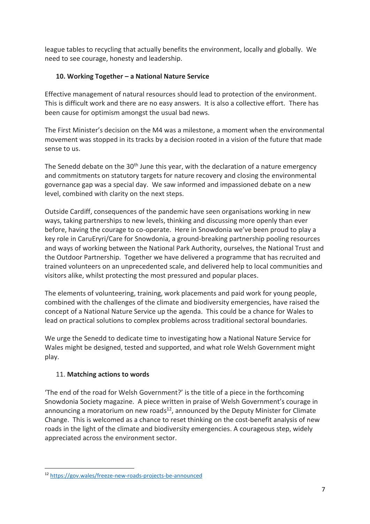league tables to recycling that actually benefits the environment, locally and globally. We need to see courage, honesty and leadership.

## **10. Working Together – a National Nature Service**

Effective management of natural resources should lead to protection of the environment. This is difficult work and there are no easy answers. It is also a collective effort. There has been cause for optimism amongst the usual bad news.

The First Minister's decision on the M4 was a milestone, a moment when the environmental movement was stopped in its tracks by a decision rooted in a vision of the future that made sense to us.

The Senedd debate on the  $30<sup>th</sup>$  June this year, with the declaration of a nature emergency and commitments on statutory targets for nature recovery and closing the environmental governance gap was a special day. We saw informed and impassioned debate on a new level, combined with clarity on the next steps.

Outside Cardiff, consequences of the pandemic have seen organisations working in new ways, taking partnerships to new levels, thinking and discussing more openly than ever before, having the courage to co-operate. Here in Snowdonia we've been proud to play a key role in CaruEryri/Care for Snowdonia, a ground-breaking partnership pooling resources and ways of working between the National Park Authority, ourselves, the National Trust and the Outdoor Partnership. Together we have delivered a programme that has recruited and trained volunteers on an unprecedented scale, and delivered help to local communities and visitors alike, whilst protecting the most pressured and popular places.

The elements of volunteering, training, work placements and paid work for young people, combined with the challenges of the climate and biodiversity emergencies, have raised the concept of a National Nature Service up the agenda. This could be a chance for Wales to lead on practical solutions to complex problems across traditional sectoral boundaries.

We urge the Senedd to dedicate time to investigating how a National Nature Service for Wales might be designed, tested and supported, and what role Welsh Government might play.

## 11. **Matching actions to words**

'The end of the road for Welsh Government?' is the title of a piece in the forthcoming Snowdonia Society magazine. A piece written in praise of Welsh Government's courage in announcing a moratorium on new roads $^{12}$ , announced by the Deputy Minister for Climate Change. This is welcomed as a chance to reset thinking on the cost-benefit analysis of new roads in the light of the climate and biodiversity emergencies. A courageous step, widely appreciated across the environment sector.

<sup>12</sup> <https://gov.wales/freeze-new-roads-projects-be-announced>